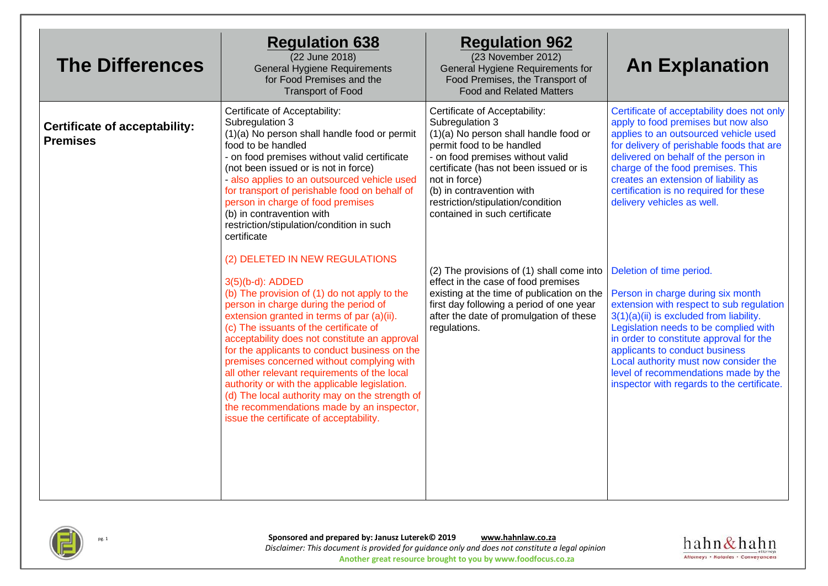| <b>The Differences</b>                                  | <b>Regulation 638</b><br>(22 June 2018)<br><b>General Hygiene Requirements</b><br>for Food Premises and the<br><b>Transport of Food</b>                                                                                                                                                                                                                                                                                                                                                                                                                                                                                       | <b>Regulation 962</b><br>(23 November 2012)<br>General Hygiene Requirements for<br>Food Premises, the Transport of<br><b>Food and Related Matters</b>                                                                                                                                                                    | <b>An Explanation</b>                                                                                                                                                                                                                                                                                                                                                                                     |
|---------------------------------------------------------|-------------------------------------------------------------------------------------------------------------------------------------------------------------------------------------------------------------------------------------------------------------------------------------------------------------------------------------------------------------------------------------------------------------------------------------------------------------------------------------------------------------------------------------------------------------------------------------------------------------------------------|--------------------------------------------------------------------------------------------------------------------------------------------------------------------------------------------------------------------------------------------------------------------------------------------------------------------------|-----------------------------------------------------------------------------------------------------------------------------------------------------------------------------------------------------------------------------------------------------------------------------------------------------------------------------------------------------------------------------------------------------------|
| <b>Certificate of acceptability:</b><br><b>Premises</b> | Certificate of Acceptability:<br>Subregulation 3<br>(1)(a) No person shall handle food or permit<br>food to be handled<br>- on food premises without valid certificate<br>(not been issued or is not in force)<br>- also applies to an outsourced vehicle used<br>for transport of perishable food on behalf of<br>person in charge of food premises<br>(b) in contravention with<br>restriction/stipulation/condition in such<br>certificate                                                                                                                                                                                 | Certificate of Acceptability:<br>Subregulation 3<br>(1)(a) No person shall handle food or<br>permit food to be handled<br>- on food premises without valid<br>certificate (has not been issued or is<br>not in force)<br>(b) in contravention with<br>restriction/stipulation/condition<br>contained in such certificate | Certificate of acceptability does not only<br>apply to food premises but now also<br>applies to an outsourced vehicle used<br>for delivery of perishable foods that are<br>delivered on behalf of the person in<br>charge of the food premises. This<br>creates an extension of liability as<br>certification is no required for these<br>delivery vehicles as well.                                      |
|                                                         | (2) DELETED IN NEW REGULATIONS<br>3(5)(b-d): ADDED<br>(b) The provision of (1) do not apply to the<br>person in charge during the period of<br>extension granted in terms of par (a)(ii).<br>(c) The issuants of the certificate of<br>acceptability does not constitute an approval<br>for the applicants to conduct business on the<br>premises concerned without complying with<br>all other relevant requirements of the local<br>authority or with the applicable legislation.<br>(d) The local authority may on the strength of<br>the recommendations made by an inspector,<br>issue the certificate of acceptability. | (2) The provisions of (1) shall come into<br>effect in the case of food premises<br>existing at the time of publication on the<br>first day following a period of one year<br>after the date of promulgation of these<br>regulations.                                                                                    | Deletion of time period.<br>Person in charge during six month<br>extension with respect to sub regulation<br>3(1)(a)(ii) is excluded from liability.<br>Legislation needs to be complied with<br>in order to constitute approval for the<br>applicants to conduct business<br>Local authority must now consider the<br>level of recommendations made by the<br>inspector with regards to the certificate. |



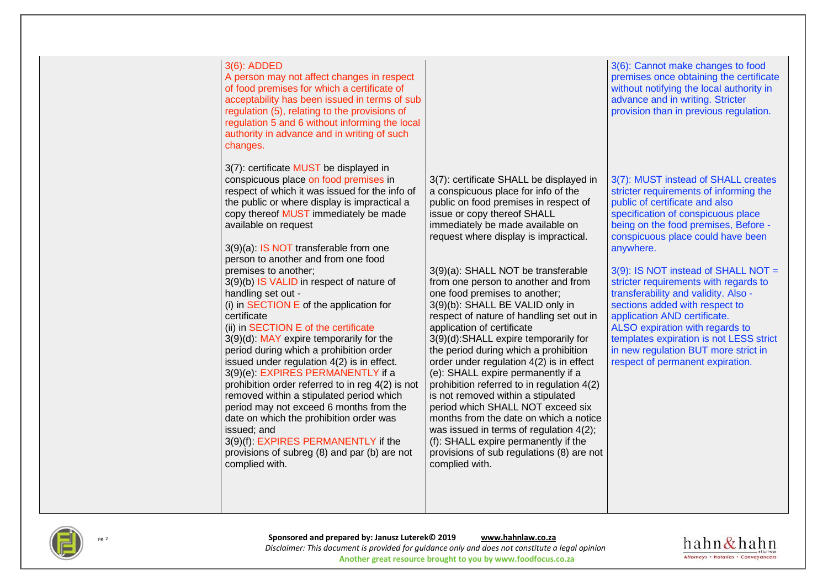



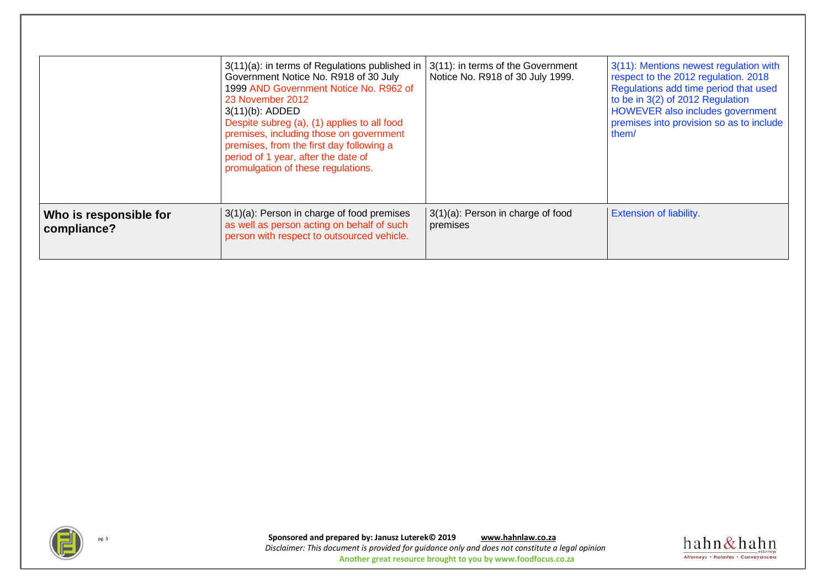|                                       | 3(11)(a): in terms of Regulations published in<br>Government Notice No. R918 of 30 July<br>1999 AND Government Notice No. R962 of<br>23 November 2012<br>$3(11)(b)$ : ADDED<br>Despite subreg (a), (1) applies to all food<br>premises, including those on government<br>premises, from the first day following a<br>period of 1 year, after the date of<br>promulgation of these regulations. | 3(11): in terms of the Government<br>Notice No. R918 of 30 July 1999. | 3(11): Mentions newest regulation with<br>respect to the 2012 regulation. 2018<br>Regulations add time period that used<br>to be in 3(2) of 2012 Regulation<br>HOWEVER also includes government<br>premises into provision so as to include<br>them/ |
|---------------------------------------|------------------------------------------------------------------------------------------------------------------------------------------------------------------------------------------------------------------------------------------------------------------------------------------------------------------------------------------------------------------------------------------------|-----------------------------------------------------------------------|------------------------------------------------------------------------------------------------------------------------------------------------------------------------------------------------------------------------------------------------------|
| Who is responsible for<br>compliance? | 3(1)(a): Person in charge of food premises<br>as well as person acting on behalf of such<br>person with respect to outsourced vehicle.                                                                                                                                                                                                                                                         | 3(1)(a): Person in charge of food<br>premises                         | Extension of liability.                                                                                                                                                                                                                              |



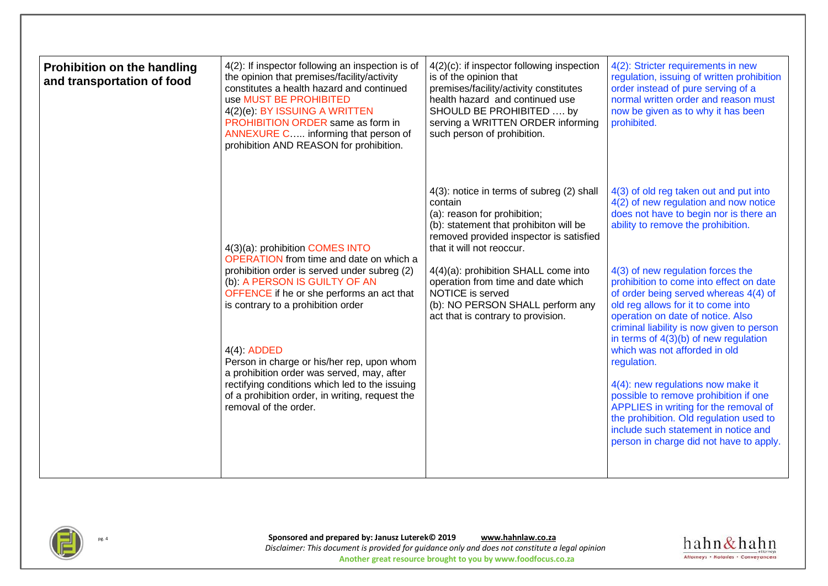| <b>Prohibition on the handling</b><br>and transportation of food | 4(2): If inspector following an inspection is of<br>the opinion that premises/facility/activity<br>constitutes a health hazard and continued<br>use MUST BE PROHIBITED<br>4(2)(e): BY ISSUING A WRITTEN<br>PROHIBITION ORDER same as form in<br>ANNEXURE C informing that person of<br>prohibition AND REASON for prohibition.                                                                                                                                                                | $4(2)(c)$ : if inspector following inspection<br>is of the opinion that<br>premises/facility/activity constitutes<br>health hazard and continued use<br>SHOULD BE PROHIBITED  by<br>serving a WRITTEN ORDER informing<br>such person of prohibition.                                                                                                                               | 4(2): Stricter requirements in new<br>regulation, issuing of written prohibition<br>order instead of pure serving of a<br>normal written order and reason must<br>now be given as to why it has been<br>prohibited.                                                                                                                                                                                                                                                                                                                                                                                                                                                                                                                                              |
|------------------------------------------------------------------|-----------------------------------------------------------------------------------------------------------------------------------------------------------------------------------------------------------------------------------------------------------------------------------------------------------------------------------------------------------------------------------------------------------------------------------------------------------------------------------------------|------------------------------------------------------------------------------------------------------------------------------------------------------------------------------------------------------------------------------------------------------------------------------------------------------------------------------------------------------------------------------------|------------------------------------------------------------------------------------------------------------------------------------------------------------------------------------------------------------------------------------------------------------------------------------------------------------------------------------------------------------------------------------------------------------------------------------------------------------------------------------------------------------------------------------------------------------------------------------------------------------------------------------------------------------------------------------------------------------------------------------------------------------------|
|                                                                  | 4(3)(a): prohibition COMES INTO<br><b>OPERATION</b> from time and date on which a<br>prohibition order is served under subreg (2)<br>(b): A PERSON IS GUILTY OF AN<br>OFFENCE if he or she performs an act that<br>is contrary to a prohibition order<br>4(4) ADDED<br>Person in charge or his/her rep, upon whom<br>a prohibition order was served, may, after<br>rectifying conditions which led to the issuing<br>of a prohibition order, in writing, request the<br>removal of the order. | 4(3): notice in terms of subreg (2) shall<br>contain<br>(a): reason for prohibition;<br>(b): statement that prohibiton will be<br>removed provided inspector is satisfied<br>that it will not reoccur.<br>4(4)(a): prohibition SHALL come into<br>operation from time and date which<br>NOTICE is served<br>(b): NO PERSON SHALL perform any<br>act that is contrary to provision. | 4(3) of old reg taken out and put into<br>4(2) of new regulation and now notice<br>does not have to begin nor is there an<br>ability to remove the prohibition.<br>4(3) of new regulation forces the<br>prohibition to come into effect on date<br>of order being served whereas 4(4) of<br>old reg allows for it to come into<br>operation on date of notice. Also<br>criminal liability is now given to person<br>in terms of $4(3)(b)$ of new regulation<br>which was not afforded in old<br>regulation.<br>4(4): new regulations now make it<br>possible to remove prohibition if one<br>APPLIES in writing for the removal of<br>the prohibition. Old regulation used to<br>include such statement in notice and<br>person in charge did not have to apply. |



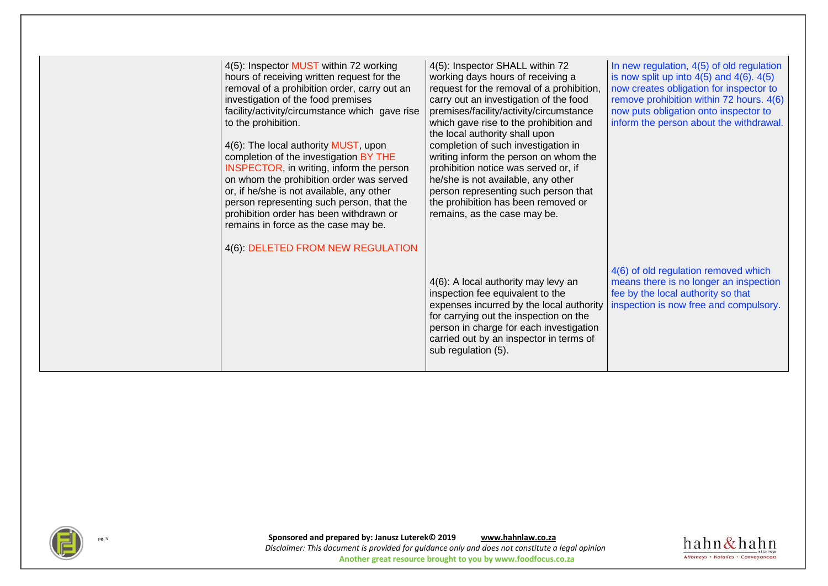| 4(5): Inspector MUST within 72 working<br>hours of receiving written request for the<br>removal of a prohibition order, carry out an<br>investigation of the food premises<br>facility/activity/circumstance which gave rise<br>to the prohibition.<br>4(6): The local authority MUST, upon<br>completion of the investigation BY THE<br>INSPECTOR, in writing, inform the person<br>on whom the prohibition order was served<br>or, if he/she is not available, any other<br>person representing such person, that the<br>prohibition order has been withdrawn or<br>remains in force as the case may be.<br>4(6): DELETED FROM NEW REGULATION | 4(5): Inspector SHALL within 72<br>working days hours of receiving a<br>request for the removal of a prohibition,<br>carry out an investigation of the food<br>premises/facility/activity/circumstance<br>which gave rise to the prohibition and<br>the local authority shall upon<br>completion of such investigation in<br>writing inform the person on whom the<br>prohibition notice was served or, if<br>he/she is not available, any other<br>person representing such person that<br>the prohibition has been removed or<br>remains, as the case may be. | In new regulation, 4(5) of old regulation<br>is now split up into $4(5)$ and $4(6)$ . $4(5)$<br>now creates obligation for inspector to<br>remove prohibition within 72 hours. 4(6)<br>now puts obligation onto inspector to<br>inform the person about the withdrawal. |
|-------------------------------------------------------------------------------------------------------------------------------------------------------------------------------------------------------------------------------------------------------------------------------------------------------------------------------------------------------------------------------------------------------------------------------------------------------------------------------------------------------------------------------------------------------------------------------------------------------------------------------------------------|-----------------------------------------------------------------------------------------------------------------------------------------------------------------------------------------------------------------------------------------------------------------------------------------------------------------------------------------------------------------------------------------------------------------------------------------------------------------------------------------------------------------------------------------------------------------|-------------------------------------------------------------------------------------------------------------------------------------------------------------------------------------------------------------------------------------------------------------------------|
|                                                                                                                                                                                                                                                                                                                                                                                                                                                                                                                                                                                                                                                 | 4(6): A local authority may levy an<br>inspection fee equivalent to the<br>expenses incurred by the local authority<br>for carrying out the inspection on the<br>person in charge for each investigation<br>carried out by an inspector in terms of<br>sub regulation (5).                                                                                                                                                                                                                                                                                      | 4(6) of old regulation removed which<br>means there is no longer an inspection<br>fee by the local authority so that<br>inspection is now free and compulsory.                                                                                                          |



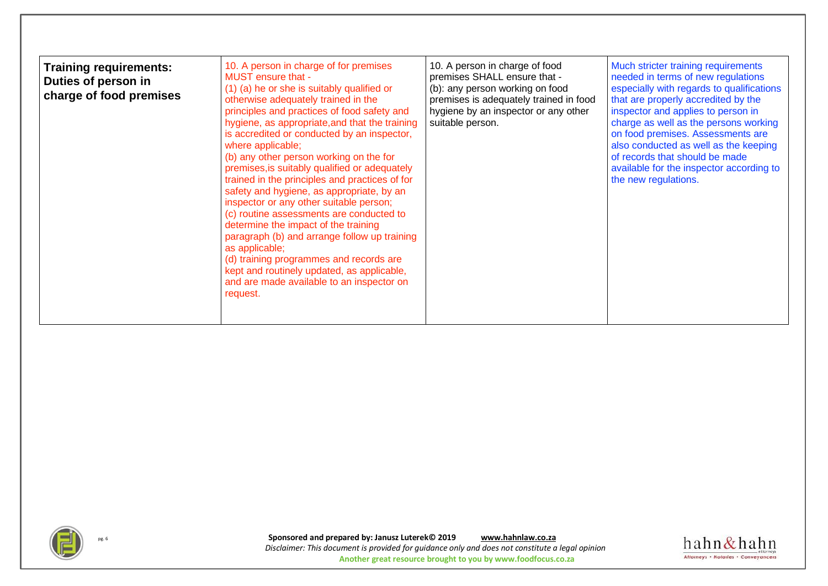| <b>Training requirements:</b><br>Duties of person in<br>charge of food premises | 10. A person in charge of for premises<br>MUST ensure that -<br>(1) (a) he or she is suitably qualified or<br>otherwise adequately trained in the<br>principles and practices of food safety and<br>hygiene, as appropriate, and that the training<br>is accredited or conducted by an inspector,<br>where applicable;<br>(b) any other person working on the for<br>premises, is suitably qualified or adequately<br>trained in the principles and practices of for<br>safety and hygiene, as appropriate, by an<br>inspector or any other suitable person;<br>(c) routine assessments are conducted to<br>determine the impact of the training<br>paragraph (b) and arrange follow up training<br>as applicable;<br>(d) training programmes and records are<br>kept and routinely updated, as applicable,<br>and are made available to an inspector on<br>request. | 10. A person in charge of food<br>premises SHALL ensure that -<br>(b): any person working on food<br>premises is adequately trained in food<br>hygiene by an inspector or any other<br>suitable person. | Much stricter training requirements<br>needed in terms of new regulations<br>especially with regards to qualifications<br>that are properly accredited by the<br>inspector and applies to person in<br>charge as well as the persons working<br>on food premises. Assessments are<br>also conducted as well as the keeping<br>of records that should be made<br>available for the inspector according to<br>the new regulations. |
|---------------------------------------------------------------------------------|----------------------------------------------------------------------------------------------------------------------------------------------------------------------------------------------------------------------------------------------------------------------------------------------------------------------------------------------------------------------------------------------------------------------------------------------------------------------------------------------------------------------------------------------------------------------------------------------------------------------------------------------------------------------------------------------------------------------------------------------------------------------------------------------------------------------------------------------------------------------|---------------------------------------------------------------------------------------------------------------------------------------------------------------------------------------------------------|----------------------------------------------------------------------------------------------------------------------------------------------------------------------------------------------------------------------------------------------------------------------------------------------------------------------------------------------------------------------------------------------------------------------------------|
|---------------------------------------------------------------------------------|----------------------------------------------------------------------------------------------------------------------------------------------------------------------------------------------------------------------------------------------------------------------------------------------------------------------------------------------------------------------------------------------------------------------------------------------------------------------------------------------------------------------------------------------------------------------------------------------------------------------------------------------------------------------------------------------------------------------------------------------------------------------------------------------------------------------------------------------------------------------|---------------------------------------------------------------------------------------------------------------------------------------------------------------------------------------------------------|----------------------------------------------------------------------------------------------------------------------------------------------------------------------------------------------------------------------------------------------------------------------------------------------------------------------------------------------------------------------------------------------------------------------------------|



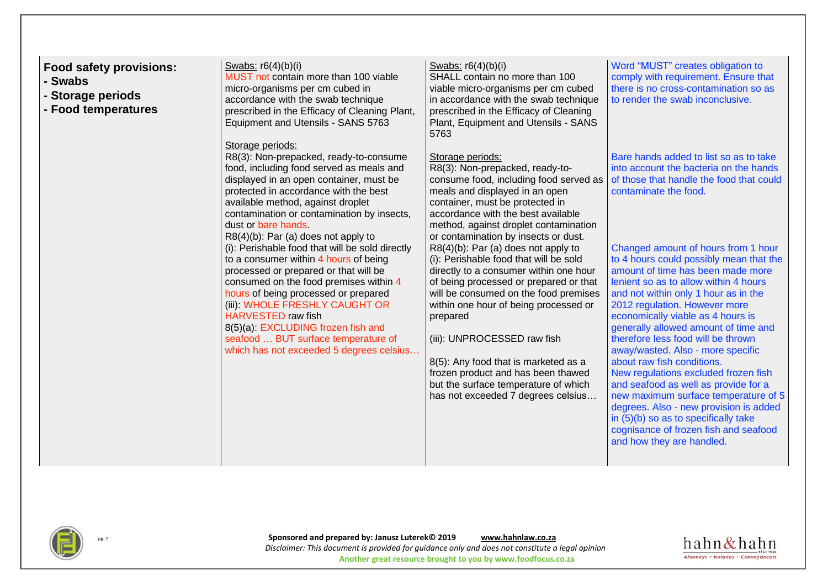| <b>Food safety provisions:</b><br>- Swabs<br>- Storage periods<br>- Food temperatures | Swabs: $r6(4)(b)(i)$<br>MUST not contain more than 100 viable<br>micro-organisms per cm cubed in<br>accordance with the swab technique<br>prescribed in the Efficacy of Cleaning Plant,<br>Equipment and Utensils - SANS 5763<br>Storage periods:                                                                                                                                                                                                                                                                                                                                                                                                                                                                                      | Swabs: $r6(4)(b)(i)$<br>SHALL contain no more than 100<br>viable micro-organisms per cm cubed<br>in accordance with the swab technique<br>prescribed in the Efficacy of Cleaning<br>Plant, Equipment and Utensils - SANS<br>5763                                                                                                                                                                                                                                                                                                                                                                                                                                                                                                                        | Word "MUST" creates obligation to<br>comply with requirement. Ensure that<br>there is no cross-contamination so as<br>to render the swab inconclusive.                                                                                                                                                                                                                                                                                                                                                                                                                                                                                                                                                                                                                                                                                                               |
|---------------------------------------------------------------------------------------|----------------------------------------------------------------------------------------------------------------------------------------------------------------------------------------------------------------------------------------------------------------------------------------------------------------------------------------------------------------------------------------------------------------------------------------------------------------------------------------------------------------------------------------------------------------------------------------------------------------------------------------------------------------------------------------------------------------------------------------|---------------------------------------------------------------------------------------------------------------------------------------------------------------------------------------------------------------------------------------------------------------------------------------------------------------------------------------------------------------------------------------------------------------------------------------------------------------------------------------------------------------------------------------------------------------------------------------------------------------------------------------------------------------------------------------------------------------------------------------------------------|----------------------------------------------------------------------------------------------------------------------------------------------------------------------------------------------------------------------------------------------------------------------------------------------------------------------------------------------------------------------------------------------------------------------------------------------------------------------------------------------------------------------------------------------------------------------------------------------------------------------------------------------------------------------------------------------------------------------------------------------------------------------------------------------------------------------------------------------------------------------|
|                                                                                       | R8(3): Non-prepacked, ready-to-consume<br>food, including food served as meals and<br>displayed in an open container, must be<br>protected in accordance with the best<br>available method, against droplet<br>contamination or contamination by insects,<br>dust or bare hands.<br>R8(4)(b): Par (a) does not apply to<br>(i): Perishable food that will be sold directly<br>to a consumer within 4 hours of being<br>processed or prepared or that will be<br>consumed on the food premises within 4<br>hours of being processed or prepared<br>(iii): WHOLE FRESHLY CAUGHT OR<br><b>HARVESTED raw fish</b><br>8(5)(a): EXCLUDING frozen fish and<br>seafood  BUT surface temperature of<br>which has not exceeded 5 degrees celsius | Storage periods:<br>R8(3): Non-prepacked, ready-to-<br>consume food, including food served as<br>meals and displayed in an open<br>container, must be protected in<br>accordance with the best available<br>method, against droplet contamination<br>or contamination by insects or dust.<br>R8(4)(b): Par (a) does not apply to<br>(i): Perishable food that will be sold<br>directly to a consumer within one hour<br>of being processed or prepared or that<br>will be consumed on the food premises<br>within one hour of being processed or<br>prepared<br>(iii): UNPROCESSED raw fish<br>8(5): Any food that is marketed as a<br>frozen product and has been thawed<br>but the surface temperature of which<br>has not exceeded 7 degrees celsius | Bare hands added to list so as to take<br>into account the bacteria on the hands<br>of those that handle the food that could<br>contaminate the food.<br>Changed amount of hours from 1 hour<br>to 4 hours could possibly mean that the<br>amount of time has been made more<br>lenient so as to allow within 4 hours<br>and not within only 1 hour as in the<br>2012 regulation. However more<br>economically viable as 4 hours is<br>generally allowed amount of time and<br>therefore less food will be thrown<br>away/wasted. Also - more specific<br>about raw fish conditions.<br>New regulations excluded frozen fish<br>and seafood as well as provide for a<br>new maximum surface temperature of 5<br>degrees. Also - new provision is added<br>in (5)(b) so as to specifically take<br>cognisance of frozen fish and seafood<br>and how they are handled. |



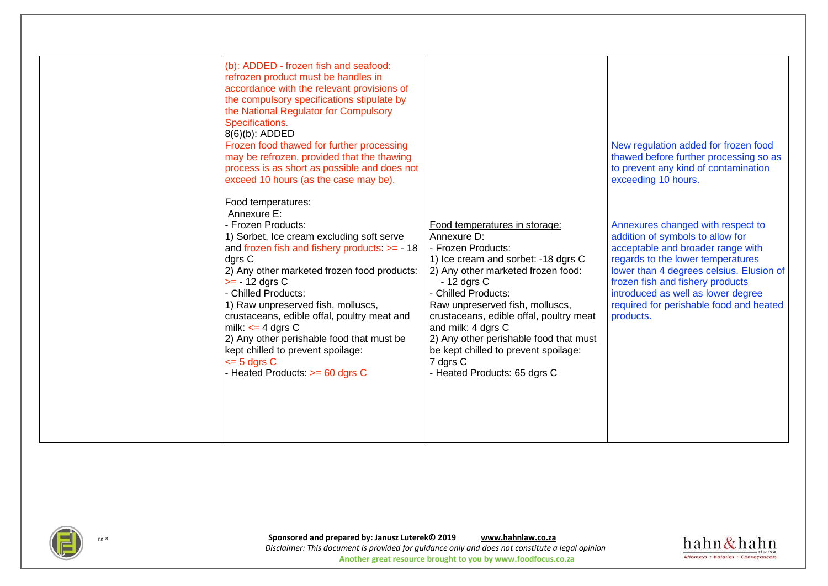| (b): ADDED - frozen fish and seafood:<br>refrozen product must be handles in<br>accordance with the relevant provisions of<br>the compulsory specifications stipulate by<br>the National Regulator for Compulsory<br>Specifications.<br>8(6)(b): ADDED<br>Frozen food thawed for further processing<br>may be refrozen, provided that the thawing<br>process is as short as possible and does not<br>exceed 10 hours (as the case may be).                                                                      |                                                                                                                                                                                                                                                                                                                                                                                                                          | New regulation added for frozen food<br>thawed before further processing so as<br>to prevent any kind of contamination<br>exceeding 10 hours.                                                                                                                                                                                 |
|-----------------------------------------------------------------------------------------------------------------------------------------------------------------------------------------------------------------------------------------------------------------------------------------------------------------------------------------------------------------------------------------------------------------------------------------------------------------------------------------------------------------|--------------------------------------------------------------------------------------------------------------------------------------------------------------------------------------------------------------------------------------------------------------------------------------------------------------------------------------------------------------------------------------------------------------------------|-------------------------------------------------------------------------------------------------------------------------------------------------------------------------------------------------------------------------------------------------------------------------------------------------------------------------------|
| Food temperatures:<br>Annexure E:<br>- Frozen Products:<br>1) Sorbet, Ice cream excluding soft serve<br>and frozen fish and fishery products: $>= -18$<br>dgrs C<br>2) Any other marketed frozen food products:<br>$>= -12$ dgrs C<br>- Chilled Products:<br>1) Raw unpreserved fish, molluscs,<br>crustaceans, edible offal, poultry meat and<br>milk: $\leq$ 4 dgrs C<br>2) Any other perishable food that must be<br>kept chilled to prevent spoilage:<br>$\leq$ 5 dgrs C<br>- Heated Products: >= 60 dgrs C | Food temperatures in storage:<br>Annexure D:<br>- Frozen Products:<br>1) Ice cream and sorbet: -18 dgrs C<br>2) Any other marketed frozen food:<br>$-12$ dgrs C<br>- Chilled Products:<br>Raw unpreserved fish, molluscs,<br>crustaceans, edible offal, poultry meat<br>and milk: 4 dgrs C<br>2) Any other perishable food that must<br>be kept chilled to prevent spoilage:<br>7 dgrs C<br>- Heated Products: 65 dgrs C | Annexures changed with respect to<br>addition of symbols to allow for<br>acceptable and broader range with<br>regards to the lower temperatures<br>lower than 4 degrees celsius. Elusion of<br>frozen fish and fishery products<br>introduced as well as lower degree<br>required for perishable food and heated<br>products. |



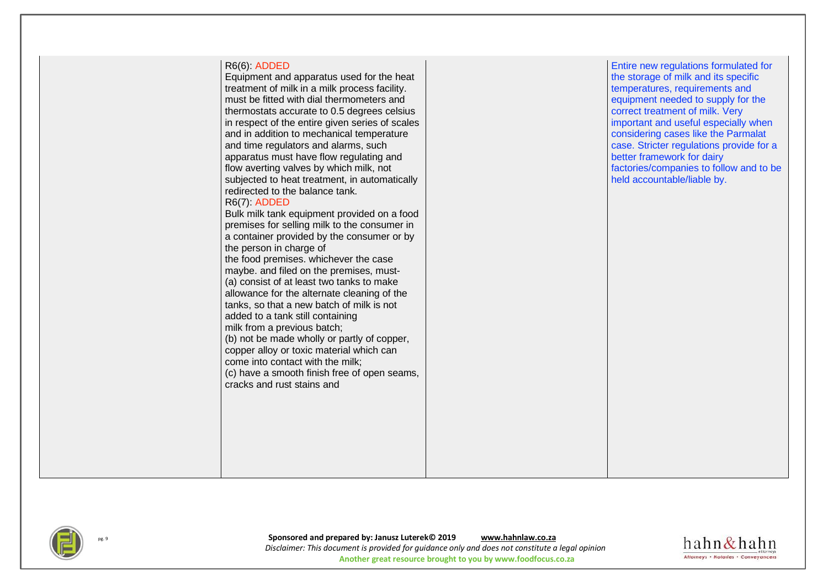| R6(6): ADDED<br>Equipment and apparatus used for the heat<br>treatment of milk in a milk process facility.<br>must be fitted with dial thermometers and<br>thermostats accurate to 0.5 degrees celsius<br>in respect of the entire given series of scales<br>and in addition to mechanical temperature<br>and time regulators and alarms, such<br>apparatus must have flow regulating and<br>flow averting valves by which milk, not<br>subjected to heat treatment, in automatically<br>redirected to the balance tank.<br>R6(7): ADDED<br>Bulk milk tank equipment provided on a food<br>premises for selling milk to the consumer in<br>a container provided by the consumer or by<br>the person in charge of<br>the food premises. whichever the case<br>maybe. and filed on the premises, must-<br>(a) consist of at least two tanks to make<br>allowance for the alternate cleaning of the<br>tanks, so that a new batch of milk is not<br>added to a tank still containing<br>milk from a previous batch; |  |
|------------------------------------------------------------------------------------------------------------------------------------------------------------------------------------------------------------------------------------------------------------------------------------------------------------------------------------------------------------------------------------------------------------------------------------------------------------------------------------------------------------------------------------------------------------------------------------------------------------------------------------------------------------------------------------------------------------------------------------------------------------------------------------------------------------------------------------------------------------------------------------------------------------------------------------------------------------------------------------------------------------------|--|
| (b) not be made wholly or partly of copper,<br>copper alloy or toxic material which can                                                                                                                                                                                                                                                                                                                                                                                                                                                                                                                                                                                                                                                                                                                                                                                                                                                                                                                          |  |
| come into contact with the milk;                                                                                                                                                                                                                                                                                                                                                                                                                                                                                                                                                                                                                                                                                                                                                                                                                                                                                                                                                                                 |  |

(c) have a smooth finish free of open seams,

cracks and rust stains and

Entire new regulations formulated for the storage of milk and its specific temperatures, requirements and equipment needed to supply for the correct treatment of milk. Very important and useful especially when considering cases like the *Parmalat case.* Stricter regulations provide for a better framework for dairy factories/companies to follow and to be held accountable/liable by.



pg. <sup>9</sup> **Sponsored and prepared by: Janusz Luterek© 2019 [www.hahnlaw.co.za](http://www.hahnlaw.co.za/)** *Disclaimer: This document is provided for guidance only and does not constitute a legal opinion* **Another great resource brought to you by www.foodfocus.co.za**

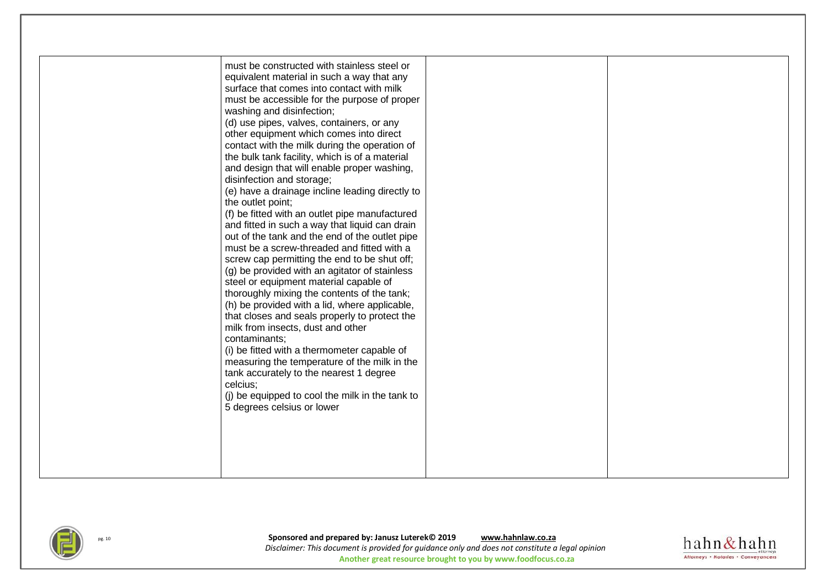| must be constructed with stainless steel or<br>equivalent material in such a way that any<br>surface that comes into contact with milk<br>must be accessible for the purpose of proper<br>washing and disinfection;<br>(d) use pipes, valves, containers, or any<br>other equipment which comes into direct<br>contact with the milk during the operation of<br>the bulk tank facility, which is of a material<br>and design that will enable proper washing,<br>disinfection and storage;<br>(e) have a drainage incline leading directly to<br>the outlet point;<br>(f) be fitted with an outlet pipe manufactured<br>and fitted in such a way that liquid can drain<br>out of the tank and the end of the outlet pipe<br>must be a screw-threaded and fitted with a<br>screw cap permitting the end to be shut off;<br>(g) be provided with an agitator of stainless<br>steel or equipment material capable of<br>thoroughly mixing the contents of the tank;<br>(h) be provided with a lid, where applicable,<br>that closes and seals properly to protect the<br>milk from insects, dust and other<br>contaminants:<br>(i) be fitted with a thermometer capable of<br>measuring the temperature of the milk in the<br>tank accurately to the nearest 1 degree<br>celcius:<br>(j) be equipped to cool the milk in the tank to<br>5 degrees celsius or lower |  |
|-----------------------------------------------------------------------------------------------------------------------------------------------------------------------------------------------------------------------------------------------------------------------------------------------------------------------------------------------------------------------------------------------------------------------------------------------------------------------------------------------------------------------------------------------------------------------------------------------------------------------------------------------------------------------------------------------------------------------------------------------------------------------------------------------------------------------------------------------------------------------------------------------------------------------------------------------------------------------------------------------------------------------------------------------------------------------------------------------------------------------------------------------------------------------------------------------------------------------------------------------------------------------------------------------------------------------------------------------------------------|--|



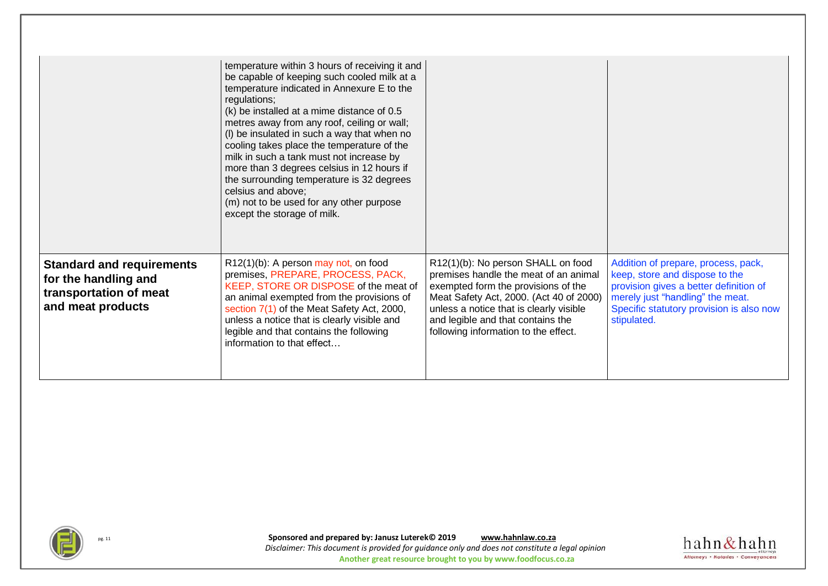|                                                                                                         | temperature within 3 hours of receiving it and<br>be capable of keeping such cooled milk at a<br>temperature indicated in Annexure E to the<br>regulations;<br>(k) be installed at a mime distance of 0.5<br>metres away from any roof, ceiling or wall;<br>(I) be insulated in such a way that when no<br>cooling takes place the temperature of the<br>milk in such a tank must not increase by<br>more than 3 degrees celsius in 12 hours if<br>the surrounding temperature is 32 degrees<br>celsius and above;<br>(m) not to be used for any other purpose<br>except the storage of milk. |                                                                                                                                                                                                                                                                                       |                                                                                                                                                                                                                |
|---------------------------------------------------------------------------------------------------------|-----------------------------------------------------------------------------------------------------------------------------------------------------------------------------------------------------------------------------------------------------------------------------------------------------------------------------------------------------------------------------------------------------------------------------------------------------------------------------------------------------------------------------------------------------------------------------------------------|---------------------------------------------------------------------------------------------------------------------------------------------------------------------------------------------------------------------------------------------------------------------------------------|----------------------------------------------------------------------------------------------------------------------------------------------------------------------------------------------------------------|
| <b>Standard and requirements</b><br>for the handling and<br>transportation of meat<br>and meat products | $R12(1)(b)$ : A person may not, on food<br>premises, PREPARE, PROCESS, PACK,<br>KEEP, STORE OR DISPOSE of the meat of<br>an animal exempted from the provisions of<br>section 7(1) of the Meat Safety Act, 2000,<br>unless a notice that is clearly visible and<br>legible and that contains the following<br>information to that effect                                                                                                                                                                                                                                                      | R12(1)(b): No person SHALL on food<br>premises handle the meat of an animal<br>exempted form the provisions of the<br>Meat Safety Act, 2000. (Act 40 of 2000)<br>unless a notice that is clearly visible<br>and legible and that contains the<br>following information to the effect. | Addition of prepare, process, pack,<br>keep, store and dispose to the<br>provision gives a better definition of<br>merely just "handling" the meat.<br>Specific statutory provision is also now<br>stipulated. |



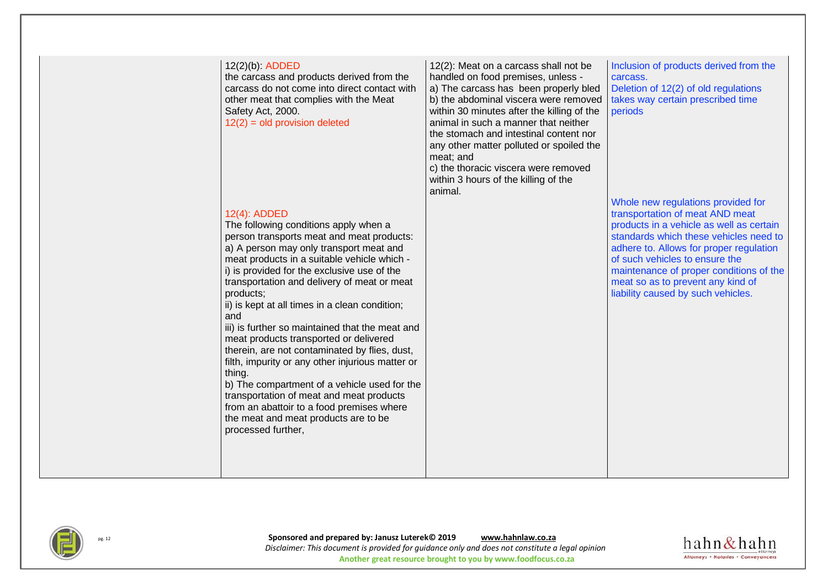| 12(2)(b): ADDED<br>the carcass and products derived from the<br>carcass do not come into direct contact with<br>other meat that complies with the Meat<br>Safety Act, 2000.<br>$12(2) = old$ provision deleted                                                                                                                                                                                                                                                                                                                                                                                                                                                                                                                                                                      | 12(2): Meat on a carcass shall not be<br>handled on food premises, unless -<br>a) The carcass has been properly bled<br>b) the abdominal viscera were removed<br>within 30 minutes after the killing of the<br>animal in such a manner that neither<br>the stomach and intestinal content nor<br>any other matter polluted or spoiled the<br>meat; and<br>c) the thoracic viscera were removed<br>within 3 hours of the killing of the<br>animal. | Inclusion of products derived from the<br>carcass.<br>Deletion of 12(2) of old regulations<br>takes way certain prescribed time<br>periods<br>Whole new regulations provided for                                                                                                                                         |
|-------------------------------------------------------------------------------------------------------------------------------------------------------------------------------------------------------------------------------------------------------------------------------------------------------------------------------------------------------------------------------------------------------------------------------------------------------------------------------------------------------------------------------------------------------------------------------------------------------------------------------------------------------------------------------------------------------------------------------------------------------------------------------------|---------------------------------------------------------------------------------------------------------------------------------------------------------------------------------------------------------------------------------------------------------------------------------------------------------------------------------------------------------------------------------------------------------------------------------------------------|--------------------------------------------------------------------------------------------------------------------------------------------------------------------------------------------------------------------------------------------------------------------------------------------------------------------------|
| 12(4): ADDED<br>The following conditions apply when a<br>person transports meat and meat products:<br>a) A person may only transport meat and<br>meat products in a suitable vehicle which -<br>i) is provided for the exclusive use of the<br>transportation and delivery of meat or meat<br>products;<br>ii) is kept at all times in a clean condition;<br>and<br>iii) is further so maintained that the meat and<br>meat products transported or delivered<br>therein, are not contaminated by flies, dust,<br>filth, impurity or any other injurious matter or<br>thing.<br>b) The compartment of a vehicle used for the<br>transportation of meat and meat products<br>from an abattoir to a food premises where<br>the meat and meat products are to be<br>processed further, |                                                                                                                                                                                                                                                                                                                                                                                                                                                   | transportation of meat AND meat<br>products in a vehicle as well as certain<br>standards which these vehicles need to<br>adhere to. Allows for proper regulation<br>of such vehicles to ensure the<br>maintenance of proper conditions of the<br>meat so as to prevent any kind of<br>liability caused by such vehicles. |



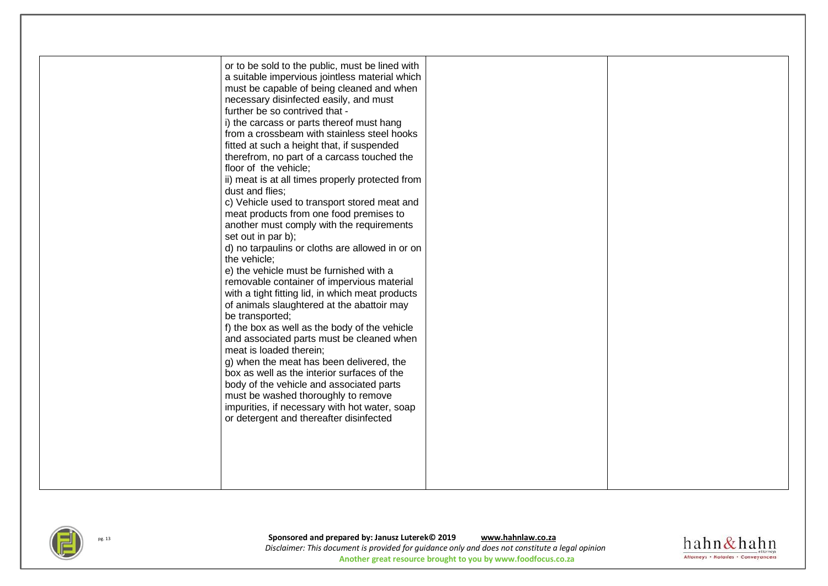

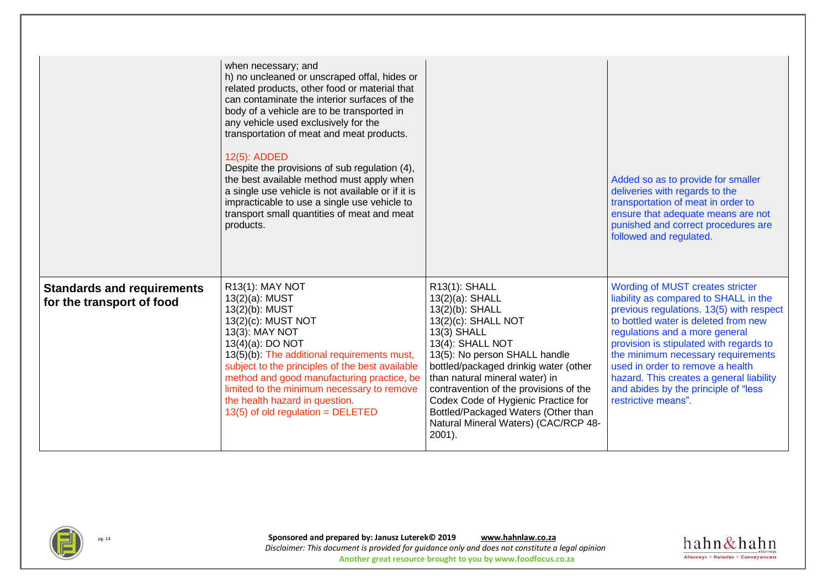|                                                                | when necessary; and<br>h) no uncleaned or unscraped offal, hides or<br>related products, other food or material that<br>can contaminate the interior surfaces of the<br>body of a vehicle are to be transported in<br>any vehicle used exclusively for the<br>transportation of meat and meat products.<br>12(5): ADDED<br>Despite the provisions of sub regulation (4),<br>the best available method must apply when<br>a single use vehicle is not available or if it is<br>impracticable to use a single use vehicle to<br>transport small quantities of meat and meat<br>products. |                                                                                                                                                                                                                                                                                                                                                                                                        | Added so as to provide for smaller<br>deliveries with regards to the<br>transportation of meat in order to<br>ensure that adequate means are not<br>punished and correct procedures are<br>followed and regulated.                                                                                                                                                                                                              |
|----------------------------------------------------------------|----------------------------------------------------------------------------------------------------------------------------------------------------------------------------------------------------------------------------------------------------------------------------------------------------------------------------------------------------------------------------------------------------------------------------------------------------------------------------------------------------------------------------------------------------------------------------------------|--------------------------------------------------------------------------------------------------------------------------------------------------------------------------------------------------------------------------------------------------------------------------------------------------------------------------------------------------------------------------------------------------------|---------------------------------------------------------------------------------------------------------------------------------------------------------------------------------------------------------------------------------------------------------------------------------------------------------------------------------------------------------------------------------------------------------------------------------|
| <b>Standards and requirements</b><br>for the transport of food | R13(1): MAY NOT<br>13(2)(a): MUST<br>13(2)(b): MUST<br>13(2)(c): MUST NOT<br>13(3): MAY NOT<br>13(4)(a): DO NOT<br>13(5)(b): The additional requirements must,<br>subject to the principles of the best available<br>method and good manufacturing practice, be<br>limited to the minimum necessary to remove<br>the health hazard in question.<br>$13(5)$ of old regulation = DELETED                                                                                                                                                                                                 | R13(1): SHALL<br>13(2)(a): SHALL<br>13(2)(b): SHALL<br>13(2)(c): SHALL NOT<br>13(3) SHALL<br>13(4): SHALL NOT<br>13(5): No person SHALL handle<br>bottled/packaged drinkig water (other<br>than natural mineral water) in<br>contravention of the provisions of the<br>Codex Code of Hygienic Practice for<br>Bottled/Packaged Waters (Other than<br>Natural Mineral Waters) (CAC/RCP 48-<br>$2001$ ). | Wording of MUST creates stricter<br>liability as compared to SHALL in the<br>previous regulations. 13(5) with respect<br>to bottled water is deleted from new<br>regulations and a more general<br>provision is stipulated with regards to<br>the minimum necessary requirements<br>used in order to remove a health<br>hazard. This creates a general liability<br>and abides by the principle of "less<br>restrictive means". |



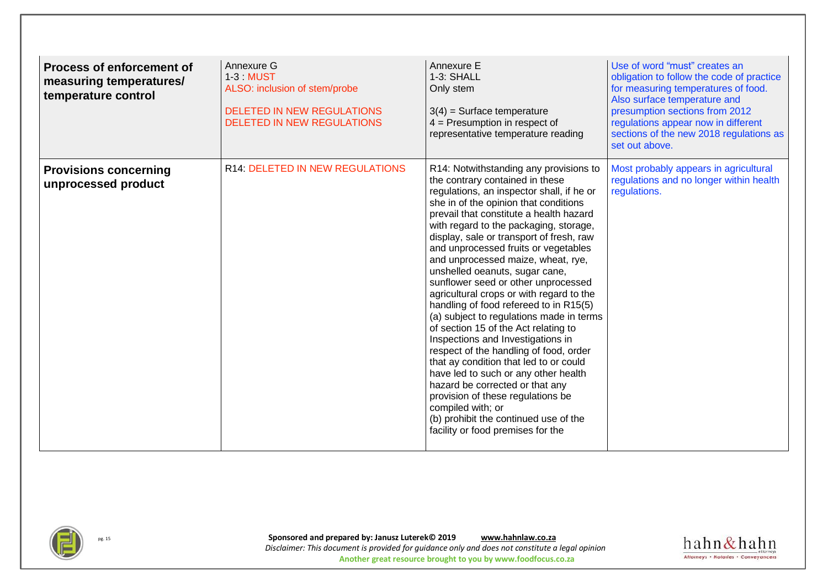| <b>Process of enforcement of</b><br>measuring temperatures/<br>temperature control | Annexure G<br>1-3 MUST<br>ALSO: inclusion of stem/probe<br><b>DELETED IN NEW REGULATIONS</b><br><b>DELETED IN NEW REGULATIONS</b> | Annexure E<br>1-3: SHALL<br>Only stem<br>$3(4)$ = Surface temperature<br>$4 =$ Presumption in respect of<br>representative temperature reading                                                                                                                                                                                                                                                                                                                                                                                                                                                                                                                                                                                                                                                                                                                                                                                                                                | Use of word "must" creates an<br>obligation to follow the code of practice<br>for measuring temperatures of food.<br>Also surface temperature and<br>presumption sections from 2012<br>regulations appear now in different<br>sections of the new 2018 regulations as<br>set out above. |
|------------------------------------------------------------------------------------|-----------------------------------------------------------------------------------------------------------------------------------|-------------------------------------------------------------------------------------------------------------------------------------------------------------------------------------------------------------------------------------------------------------------------------------------------------------------------------------------------------------------------------------------------------------------------------------------------------------------------------------------------------------------------------------------------------------------------------------------------------------------------------------------------------------------------------------------------------------------------------------------------------------------------------------------------------------------------------------------------------------------------------------------------------------------------------------------------------------------------------|-----------------------------------------------------------------------------------------------------------------------------------------------------------------------------------------------------------------------------------------------------------------------------------------|
| <b>Provisions concerning</b><br>unprocessed product                                | <b>R14: DELETED IN NEW REGULATIONS</b>                                                                                            | R14: Notwithstanding any provisions to<br>the contrary contained in these<br>regulations, an inspector shall, if he or<br>she in of the opinion that conditions<br>prevail that constitute a health hazard<br>with regard to the packaging, storage,<br>display, sale or transport of fresh, raw<br>and unprocessed fruits or vegetables<br>and unprocessed maize, wheat, rye,<br>unshelled oeanuts, sugar cane,<br>sunflower seed or other unprocessed<br>agricultural crops or with regard to the<br>handling of food refereed to in R15(5)<br>(a) subject to regulations made in terms<br>of section 15 of the Act relating to<br>Inspections and Investigations in<br>respect of the handling of food, order<br>that ay condition that led to or could<br>have led to such or any other health<br>hazard be corrected or that any<br>provision of these regulations be<br>compiled with; or<br>(b) prohibit the continued use of the<br>facility or food premises for the | Most probably appears in agricultural<br>regulations and no longer within health<br>regulations.                                                                                                                                                                                        |



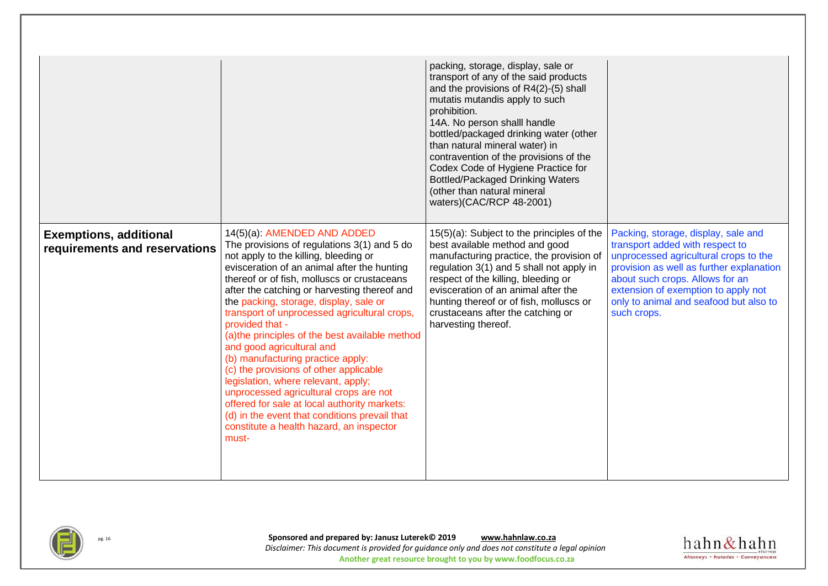|                                                                |                                                                                                                                                                                                                                                                                                                                                                                                                                                                                                                                                                                                                                                                                                                                                                                      | packing, storage, display, sale or<br>transport of any of the said products<br>and the provisions of R4(2)-(5) shall<br>mutatis mutandis apply to such<br>prohibition.<br>14A. No person shalll handle<br>bottled/packaged drinking water (other<br>than natural mineral water) in<br>contravention of the provisions of the<br>Codex Code of Hygiene Practice for<br><b>Bottled/Packaged Drinking Waters</b><br>(other than natural mineral<br>waters)(CAC/RCP 48-2001) |                                                                                                                                                                                                                                                                                                |
|----------------------------------------------------------------|--------------------------------------------------------------------------------------------------------------------------------------------------------------------------------------------------------------------------------------------------------------------------------------------------------------------------------------------------------------------------------------------------------------------------------------------------------------------------------------------------------------------------------------------------------------------------------------------------------------------------------------------------------------------------------------------------------------------------------------------------------------------------------------|--------------------------------------------------------------------------------------------------------------------------------------------------------------------------------------------------------------------------------------------------------------------------------------------------------------------------------------------------------------------------------------------------------------------------------------------------------------------------|------------------------------------------------------------------------------------------------------------------------------------------------------------------------------------------------------------------------------------------------------------------------------------------------|
| <b>Exemptions, additional</b><br>requirements and reservations | 14(5)(a): AMENDED AND ADDED<br>The provisions of regulations 3(1) and 5 do<br>not apply to the killing, bleeding or<br>evisceration of an animal after the hunting<br>thereof or of fish, molluscs or crustaceans<br>after the catching or harvesting thereof and<br>the packing, storage, display, sale or<br>transport of unprocessed agricultural crops,<br>provided that -<br>(a) the principles of the best available method<br>and good agricultural and<br>(b) manufacturing practice apply:<br>(c) the provisions of other applicable<br>legislation, where relevant, apply;<br>unprocessed agricultural crops are not<br>offered for sale at local authority markets:<br>(d) in the event that conditions prevail that<br>constitute a health hazard, an inspector<br>must- | 15(5)(a): Subject to the principles of the<br>best available method and good<br>manufacturing practice, the provision of<br>regulation 3(1) and 5 shall not apply in<br>respect of the killing, bleeding or<br>evisceration of an animal after the<br>hunting thereof or of fish, molluscs or<br>crustaceans after the catching or<br>harvesting thereof.                                                                                                                | Packing, storage, display, sale and<br>transport added with respect to<br>unprocessed agricultural crops to the<br>provision as well as further explanation<br>about such crops. Allows for an<br>extension of exemption to apply not<br>only to animal and seafood but also to<br>such crops. |